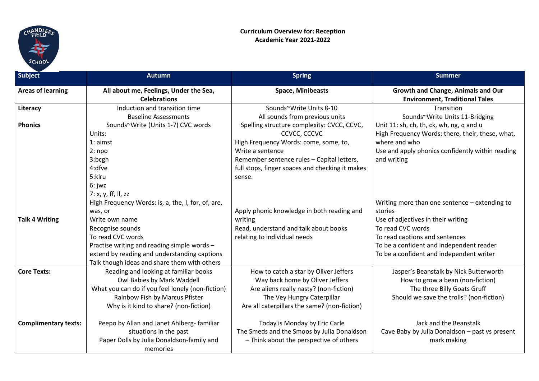

| <b>Subject</b>              | <b>Autumn</b>                                                 | <b>Spring</b>                                   | <b>Summer</b>                                                               |
|-----------------------------|---------------------------------------------------------------|-------------------------------------------------|-----------------------------------------------------------------------------|
| <b>Areas of learning</b>    | All about me, Feelings, Under the Sea,<br><b>Celebrations</b> | <b>Space, Minibeasts</b>                        | Growth and Change, Animals and Our<br><b>Environment, Traditional Tales</b> |
| Literacy                    | Induction and transition time                                 | Sounds~Write Units 8-10                         | Transition                                                                  |
|                             | <b>Baseline Assessments</b>                                   | All sounds from previous units                  | Sounds~Write Units 11-Bridging                                              |
| <b>Phonics</b>              | Sounds~Write (Units 1-7) CVC words                            | Spelling structure complexity: CVCC, CCVC,      | Unit 11: sh, ch, th, ck, wh, ng, q and u                                    |
|                             | Units:                                                        | CCVCC, CCCVC                                    | High Frequency Words: there, their, these, what,                            |
|                             | $1:$ aimst                                                    | High Frequency Words: come, some, to,           | where and who                                                               |
|                             | $2:$ npo                                                      | Write a sentence                                | Use and apply phonics confidently within reading                            |
|                             | 3:bcgh                                                        | Remember sentence rules - Capital letters,      | and writing                                                                 |
|                             | 4:dfve                                                        | full stops, finger spaces and checking it makes |                                                                             |
|                             | 5:klru                                                        | sense.                                          |                                                                             |
|                             | 6: jwz                                                        |                                                 |                                                                             |
|                             | 7: x, y, ff, ll, zz                                           |                                                 |                                                                             |
|                             | High Frequency Words: is, a, the, I, for, of, are,            |                                                 | Writing more than one sentence - extending to                               |
|                             | was, or                                                       | Apply phonic knowledge in both reading and      | stories                                                                     |
| <b>Talk 4 Writing</b>       | Write own name                                                | writing                                         | Use of adjectives in their writing                                          |
|                             | Recognise sounds                                              | Read, understand and talk about books           | To read CVC words                                                           |
|                             | To read CVC words                                             | relating to individual needs                    | To read captions and sentences                                              |
|                             | Practise writing and reading simple words -                   |                                                 | To be a confident and independent reader                                    |
|                             | extend by reading and understanding captions                  |                                                 | To be a confident and independent writer                                    |
|                             | Talk though ideas and share them with others                  |                                                 |                                                                             |
| <b>Core Texts:</b>          | Reading and looking at familiar books                         | How to catch a star by Oliver Jeffers           | Jasper's Beanstalk by Nick Butterworth                                      |
|                             | Owl Babies by Mark Waddell                                    | Way back home by Oliver Jeffers                 | How to grow a bean (non-fiction)                                            |
|                             | What you can do if you feel lonely (non-fiction)              | Are aliens really nasty? (non-fiction)          | The three Billy Goats Gruff                                                 |
|                             | Rainbow Fish by Marcus Pfister                                | The Vey Hungry Caterpillar                      | Should we save the trolls? (non-fiction)                                    |
|                             | Why is it kind to share? (non-fiction)                        | Are all caterpillars the same? (non-fiction)    |                                                                             |
| <b>Complimentary texts:</b> | Peepo by Allan and Janet Ahlberg- familiar                    | Today is Monday by Eric Carle                   | Jack and the Beanstalk                                                      |
|                             | situations in the past                                        | The Smeds and the Smoos by Julia Donaldson      | Cave Baby by Julia Donaldson - past vs present                              |
|                             | Paper Dolls by Julia Donaldson-family and                     | - Think about the perspective of others         | mark making                                                                 |
|                             | memories                                                      |                                                 |                                                                             |
|                             |                                                               |                                                 |                                                                             |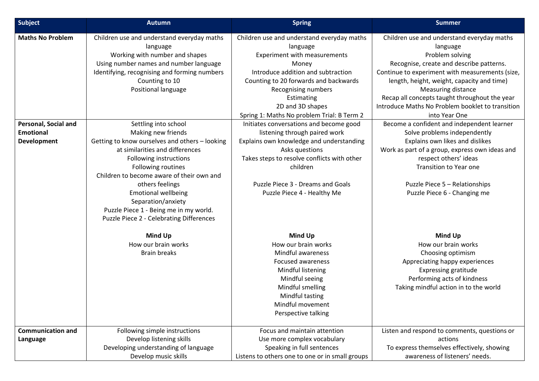| Subject                                                        | <b>Autumn</b>                                                                                                                                                                                                                                                                                                                                                                             | <b>Spring</b>                                                                                                                                                                                                                                                                         | <b>Summer</b>                                                                                                                                                                                                                                                                                                                                                             |
|----------------------------------------------------------------|-------------------------------------------------------------------------------------------------------------------------------------------------------------------------------------------------------------------------------------------------------------------------------------------------------------------------------------------------------------------------------------------|---------------------------------------------------------------------------------------------------------------------------------------------------------------------------------------------------------------------------------------------------------------------------------------|---------------------------------------------------------------------------------------------------------------------------------------------------------------------------------------------------------------------------------------------------------------------------------------------------------------------------------------------------------------------------|
| <b>Maths No Problem</b>                                        | Children use and understand everyday maths<br>language<br>Working with number and shapes<br>Using number names and number language<br>Identifying, recognising and forming numbers<br>Counting to 10<br>Positional language                                                                                                                                                               | Children use and understand everyday maths<br>language<br>Experiment with measurements<br>Money<br>Introduce addition and subtraction<br>Counting to 20 forwards and backwards<br>Recognising numbers<br>Estimating<br>2D and 3D shapes<br>Spring 1: Maths No problem Trial: B Term 2 | Children use and understand everyday maths<br>language<br>Problem solving<br>Recognise, create and describe patterns.<br>Continue to experiment with measurements (size,<br>length, height, weight, capacity and time)<br><b>Measuring distance</b><br>Recap all concepts taught throughout the year<br>Introduce Maths No Problem booklet to transition<br>into Year One |
| Personal, Social and<br><b>Emotional</b><br><b>Development</b> | Settling into school<br>Making new friends<br>Getting to know ourselves and others - looking<br>at similarities and differences<br>Following instructions<br>Following routines<br>Children to become aware of their own and<br>others feelings<br><b>Emotional wellbeing</b><br>Separation/anxiety<br>Puzzle Piece 1 - Being me in my world.<br>Puzzle Piece 2 - Celebrating Differences | Initiates conversations and become good<br>listening through paired work<br>Explains own knowledge and understanding<br>Asks questions<br>Takes steps to resolve conflicts with other<br>children<br>Puzzle Piece 3 - Dreams and Goals<br>Puzzle Piece 4 - Healthy Me                 | Become a confident and independent learner<br>Solve problems independently<br>Explains own likes and dislikes<br>Work as part of a group, express own ideas and<br>respect others' ideas<br><b>Transition to Year one</b><br>Puzzle Piece 5 - Relationships<br>Puzzle Piece 6 - Changing me                                                                               |
|                                                                | Mind Up<br>How our brain works<br><b>Brain breaks</b>                                                                                                                                                                                                                                                                                                                                     | Mind Up<br>How our brain works<br>Mindful awareness<br><b>Focused awareness</b><br>Mindful listening<br>Mindful seeing<br>Mindful smelling<br>Mindful tasting<br>Mindful movement<br>Perspective talking                                                                              | <b>Mind Up</b><br>How our brain works<br>Choosing optimism<br>Appreciating happy experiences<br><b>Expressing gratitude</b><br>Performing acts of kindness<br>Taking mindful action in to the world                                                                                                                                                                       |
| <b>Communication and</b><br>Language                           | Following simple instructions<br>Develop listening skills<br>Developing understanding of language<br>Develop music skills                                                                                                                                                                                                                                                                 | Focus and maintain attention<br>Use more complex vocabulary<br>Speaking in full sentences<br>Listens to others one to one or in small groups                                                                                                                                          | Listen and respond to comments, questions or<br>actions<br>To express themselves effectively, showing<br>awareness of listeners' needs.                                                                                                                                                                                                                                   |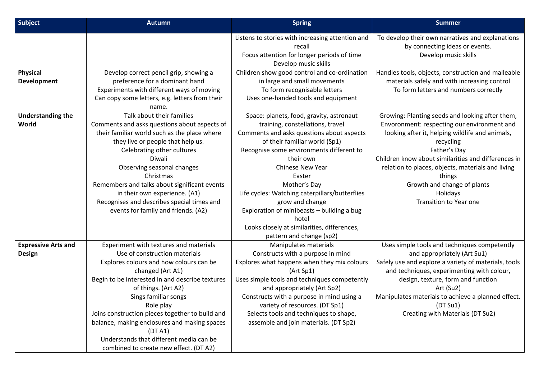| Subject                                     | <b>Autumn</b>                                                                                                                                                                                                                                                                                                                                                                                                                                           | <b>Spring</b>                                                                                                                                                                                                                                                                                                                                                                                                                                                            | <b>Summer</b>                                                                                                                                                                                                                                                                                                                                                                    |
|---------------------------------------------|---------------------------------------------------------------------------------------------------------------------------------------------------------------------------------------------------------------------------------------------------------------------------------------------------------------------------------------------------------------------------------------------------------------------------------------------------------|--------------------------------------------------------------------------------------------------------------------------------------------------------------------------------------------------------------------------------------------------------------------------------------------------------------------------------------------------------------------------------------------------------------------------------------------------------------------------|----------------------------------------------------------------------------------------------------------------------------------------------------------------------------------------------------------------------------------------------------------------------------------------------------------------------------------------------------------------------------------|
|                                             |                                                                                                                                                                                                                                                                                                                                                                                                                                                         | Listens to stories with increasing attention and<br>recall<br>Focus attention for longer periods of time<br>Develop music skills                                                                                                                                                                                                                                                                                                                                         | To develop their own narratives and explanations<br>by connecting ideas or events.<br>Develop music skills                                                                                                                                                                                                                                                                       |
| Physical<br>Development                     | Develop correct pencil grip, showing a<br>preference for a dominant hand<br>Experiments with different ways of moving<br>Can copy some letters, e.g. letters from their<br>name.                                                                                                                                                                                                                                                                        | Children show good control and co-ordination<br>in large and small movements<br>To form recognisable letters<br>Uses one-handed tools and equipment                                                                                                                                                                                                                                                                                                                      | Handles tools, objects, construction and malleable<br>materials safely and with increasing control<br>To form letters and numbers correctly                                                                                                                                                                                                                                      |
| <b>Understanding the</b><br>World           | Talk about their families<br>Comments and asks questions about aspects of<br>their familiar world such as the place where<br>they live or people that help us.<br>Celebrating other cultures<br>Diwali<br>Observing seasonal changes<br>Christmas<br>Remembers and talks about significant events<br>in their own experience. (A1)<br>Recognises and describes special times and<br>events for family and friends. (A2)                                 | Space: planets, food, gravity, astronaut<br>training, constellations, travel<br>Comments and asks questions about aspects<br>of their familiar world (Sp1)<br>Recognise some environments different to<br>their own<br>Chinese New Year<br>Easter<br>Mother's Day<br>Life cycles: Watching caterpillars/butterflies<br>grow and change<br>Exploration of minibeasts - building a bug<br>hotel<br>Looks closely at similarities, differences,<br>pattern and change (sp2) | Growing: Planting seeds and looking after them,<br>Envoronment: respecting our environment and<br>looking after it, helping wildlife and animals,<br>recycling<br>Father's Day<br>Children know about similarities and differences in<br>relation to places, objects, materials and living<br>things<br>Growth and change of plants<br>Holidays<br><b>Transition to Year one</b> |
| <b>Expressive Arts and</b><br><b>Design</b> | Experiment with textures and materials<br>Use of construction materials<br>Explores colours and how colours can be<br>changed (Art A1)<br>Begin to be interested in and describe textures<br>of things. (Art A2)<br>Sings familiar songs<br>Role play<br>Joins construction pieces together to build and<br>balance, making enclosures and making spaces<br>(DTA1)<br>Understands that different media can be<br>combined to create new effect. (DT A2) | Manipulates materials<br>Constructs with a purpose in mind<br>Explores what happens when they mix colours<br>(Art Sp1)<br>Uses simple tools and techniques competently<br>and appropriately (Art Sp2)<br>Constructs with a purpose in mind using a<br>variety of resources. (DT Sp1)<br>Selects tools and techniques to shape,<br>assemble and join materials. (DT Sp2)                                                                                                  | Uses simple tools and techniques competently<br>and appropriately (Art Su1)<br>Safely use and explore a variety of materials, tools<br>and techniques, experimenting with colour,<br>design, texture, form and function<br>Art (Su2)<br>Manipulates materials to achieve a planned effect.<br>(DT Su1)<br>Creating with Materials (DT Su2)                                       |